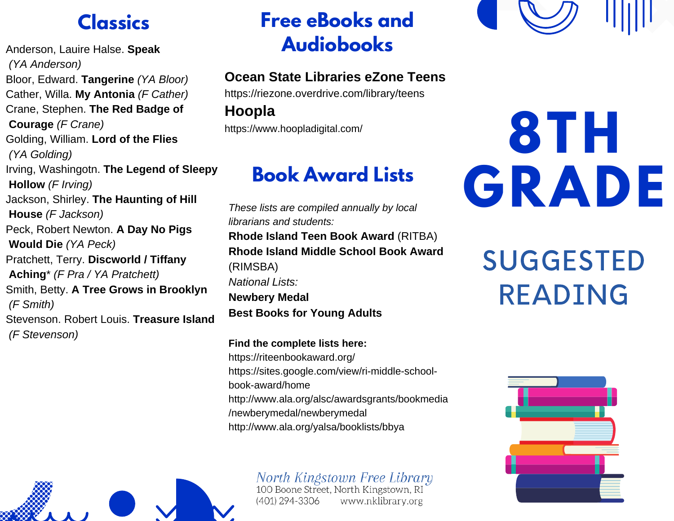Anderson, Lauire Halse. **Speak** *(YA Anderson)* Bloor, Edward. **Tangerine** *(YA Bloor)* Cather, Willa. **My Antonia** *(F Cather)* Crane, Stephen. **The Red Badge of Courage** *(F Crane)* Golding, William. **Lord of the Flies** *(YA Golding)* Irving, Washingotn. **The Legend of Sleepy Hollow** *(F Irving)* Jackson, Shirley. **The Haunting of Hill House** *(F Jackson)* Peck, Robert Newton. **A Day No Pigs Would Die** *(YA Peck)* Pratchett, Terry. **Discworld / Tiffany Aching**\* *(F Pra / YA Pratchett)* Smith, Betty. **A Tree Grows in Brooklyn** *(F Smith)* Stevenson. Robert Louis. **Treasure Island** *(F Stevenson)*

## **Classics Free eBooks and Audiobooks**

### **Ocean State Libraries eZone Teens**

https://riezone.overdrive.com/library/teens

**Hoopla**

https://www.hoopladigital.com/

## **Book Award Lists**

*These lists are compiled annually by local librarians and students:* **Rhode Island Teen Book Award** (RITBA) **Rhode Island Middle School Book Award** (RIMSBA) *National Lists:* **Newbery Medal Best Books for Young Adults**

**Find the complete lists here:** https://riteenbookaward.org/ https://sites.google.com/view/ri-middle-schoolbook-award/home http://www.ala.org/alsc/awardsgrants/bookmedia /newberymedal/newberymedal http://www.ala.org/yalsa/booklists/bbya



North Kingstown Free Library<br>100 Boone Street, North Kingstown, RI www.nklibrary.org (401) 294-3306

# **8TH GRADE**

## SUGGESTED READING